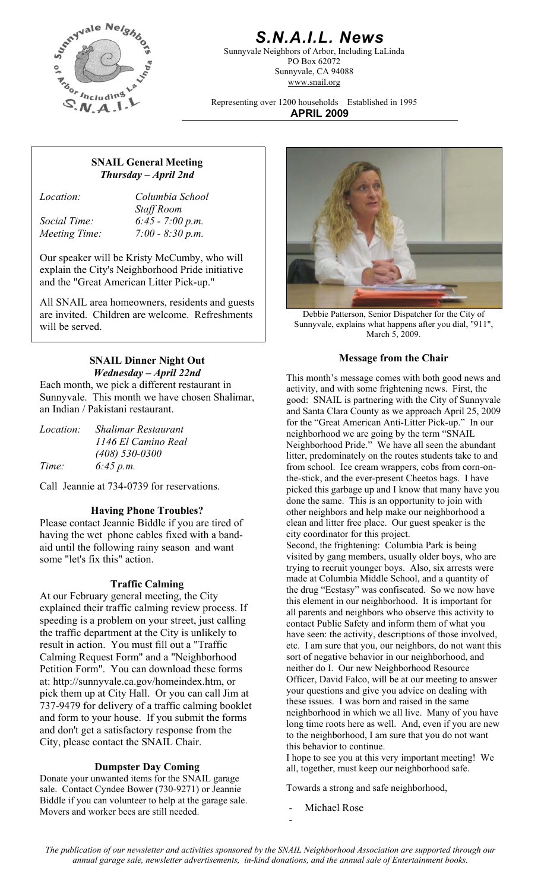

## *S.N.A.I.L. News*

Sunnyvale Neighbors of Arbor, Including LaLinda PO Box 62072 Sunnyvale, CA 94088 www.snail.org

Representing over 1200 households Established in 1995 **APRIL 2009**

### **SNAIL General Meeting**  *Thursday – April 2nd*

*Location: Columbia School Staff Room Social Time: 6:45 - 7:00 p.m. Meeting Time: 7:00 - 8:30 p.m.* 

Our speaker will be Kristy McCumby, who will explain the City's Neighborhood Pride initiative and the "Great American Litter Pick-up."

All SNAIL area homeowners, residents and guests are invited. Children are welcome. Refreshments will be served.

# **SNAIL Dinner Night Out Message from the Chair**

Each month, we pick a different restaurant in Sunnyvale. This month we have chosen Shalimar, an Indian / Pakistani restaurant.

| <i>Location:</i> | <b>Shalimar Restaurant</b> |
|------------------|----------------------------|
|                  | 1146 El Camino Real        |
|                  | $(408)$ 530-0300           |
| Time:            | 6:45 p.m.                  |

Call Jeannie at 734-0739 for reservations.

#### **Having Phone Troubles?**

Please contact Jeannie Biddle if you are tired of having the wet phone cables fixed with a bandaid until the following rainy season and want some "let's fix this" action.

#### **Traffic Calming**

At our February general meeting, the City explained their traffic calming review process. If speeding is a problem on your street, just calling the traffic department at the City is unlikely to result in action. You must fill out a "Traffic Calming Request Form" and a "Neighborhood Petition Form". You can download these forms at: http://sunnyvale.ca.gov/homeindex.htm, or pick them up at City Hall. Or you can call Jim at 737-9479 for delivery of a traffic calming booklet and form to your house. If you submit the forms and don't get a satisfactory response from the City, please contact the SNAIL Chair.

Donate your unwanted items for the SNAIL garage sale. Contact Cyndee Bower (730-9271) or Jeannie Biddle if you can volunteer to help at the garage sale. Movers and worker bees are still needed.



Debbie Patterson, Senior Dispatcher for the City of Sunnyvale, explains what happens after you dial, "911", March 5, 2009.

*Wednesday – April 22nd* This month's message comes with both good news and activity, and with some frightening news. First, the good: SNAIL is partnering with the City of Sunnyvale and Santa Clara County as we approach April 25, 2009 for the "Great American Anti-Litter Pick-up." In our neighborhood we are going by the term "SNAIL Neighborhood Pride." We have all seen the abundant litter, predominately on the routes students take to and from school. Ice cream wrappers, cobs from corn-onthe-stick, and the ever-present Cheetos bags. I have picked this garbage up and I know that many have you done the same. This is an opportunity to join with other neighbors and help make our neighborhood a clean and litter free place. Our guest speaker is the city coordinator for this project. Second, the frightening: Columbia Park is being visited by gang members, usually older boys, who are trying to recruit younger boys. Also, six arrests were made at Columbia Middle School, and a quantity of the drug "Ecstasy" was confiscated. So we now have this element in our neighborhood. It is important for all parents and neighbors who observe this activity to contact Public Safety and inform them of what you have seen: the activity, descriptions of those involved, etc. I am sure that you, our neighbors, do not want this sort of negative behavior in our neighborhood, and neither do I. Our new Neighborhood Resource Officer, David Falco, will be at our meeting to answer your questions and give you advice on dealing with these issues. I was born and raised in the same neighborhood in which we all live. Many of you have long time roots here as well. And, even if you are new to the neighborhood, I am sure that you do not want

this behavior to continue. I hope to see you at this very important meeting! We **Dumpster Day Coming** all, together, must keep our neighborhood safe.

Towards a strong and safe neighborhood,

Michael Rose

-